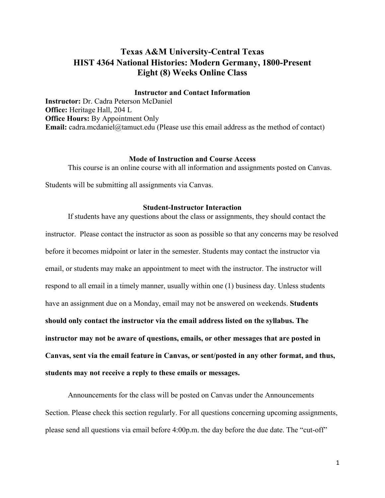# **Texas A&M University-Central Texas HIST 4364 National Histories: Modern Germany, 1800-Present Eight (8) Weeks Online Class**

### **Instructor and Contact Information**

**Instructor:** Dr. Cadra Peterson McDaniel **Office:** Heritage Hall, 204 L **Office Hours:** By Appointment Only **Email:** cadra.mcdaniel@tamuct.edu (Please use this email address as the method of contact)

### **Mode of Instruction and Course Access**

This course is an online course with all information and assignments posted on Canvas.

Students will be submitting all assignments via Canvas.

### **Student-Instructor Interaction**

If students have any questions about the class or assignments, they should contact the instructor. Please contact the instructor as soon as possible so that any concerns may be resolved before it becomes midpoint or later in the semester. Students may contact the instructor via email, or students may make an appointment to meet with the instructor. The instructor will respond to all email in a timely manner, usually within one (1) business day. Unless students have an assignment due on a Monday, email may not be answered on weekends. **Students should only contact the instructor via the email address listed on the syllabus. The instructor may not be aware of questions, emails, or other messages that are posted in Canvas, sent via the email feature in Canvas, or sent/posted in any other format, and thus, students may not receive a reply to these emails or messages.** 

Announcements for the class will be posted on Canvas under the Announcements Section. Please check this section regularly. For all questions concerning upcoming assignments, please send all questions via email before 4:00p.m. the day before the due date. The "cut-off"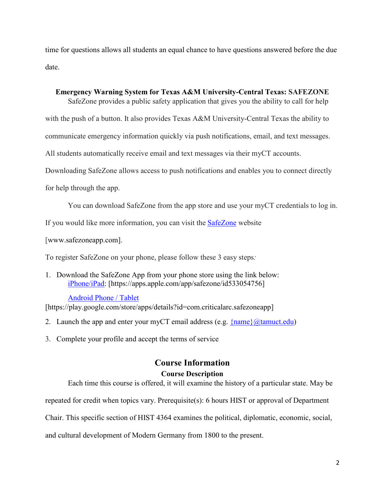time for questions allows all students an equal chance to have questions answered before the due date.

# **Emergency Warning System for Texas A&M University-Central Texas: SAFEZONE**

SafeZone provides a public safety application that gives you the ability to call for help

with the push of a button. It also provides Texas A&M University-Central Texas the ability to

communicate emergency information quickly via push notifications, email, and text messages.

All students automatically receive email and text messages via their myCT accounts.

Downloading SafeZone allows access to push notifications and enables you to connect directly

for help through the app.

You can download SafeZone from the app store and use your myCT credentials to log in.

If you would like more information, you can visit the **[SafeZone](http://www.safezoneapp.com/)** website

[www.safezoneapp.com].

To register SafeZone on your phone, please follow these 3 easy steps*:*

1. Download the SafeZone App from your phone store using the link below: [iPhone/iPad:](https://apps.apple.com/app/safezone/id533054756) [https://apps.apple.com/app/safezone/id533054756]

# [Android Phone / Tablet](https://play.google.com/store/apps/details?id=com.criticalarc.safezoneapp)

[https://play.google.com/store/apps/details?id=com.criticalarc.safezoneapp]

- 2. Launch the app and enter your myCT email address (e.g.  $\{\text{name}\}\langle\omega\text{tamuct.edu}\rangle$ )
- 3. Complete your profile and accept the terms of service

# **Course Information**

# **Course Description**

Each time this course is offered, it will examine the history of a particular state. May be

repeated for credit when topics vary. Prerequisite(s): 6 hours HIST or approval of Department

Chair. This specific section of HIST 4364 examines the political, diplomatic, economic, social,

and cultural development of Modern Germany from 1800 to the present.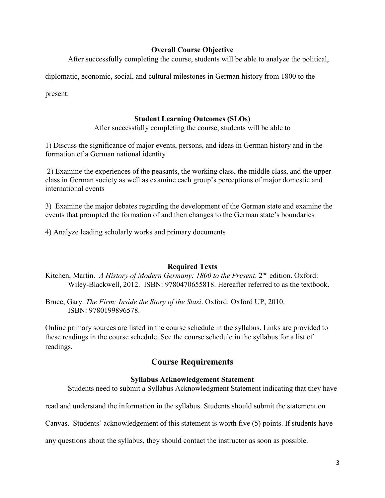### **Overall Course Objective**

After successfully completing the course, students will be able to analyze the political,

diplomatic, economic, social, and cultural milestones in German history from 1800 to the

present.

# **Student Learning Outcomes (SLOs)**

After successfully completing the course, students will be able to

1) Discuss the significance of major events, persons, and ideas in German history and in the formation of a German national identity

2) Examine the experiences of the peasants, the working class, the middle class, and the upper class in German society as well as examine each group's perceptions of major domestic and international events

3) Examine the major debates regarding the development of the German state and examine the events that prompted the formation of and then changes to the German state's boundaries

4) Analyze leading scholarly works and primary documents

# **Required Texts**

Kitchen, Martin. *A History of Modern Germany: 1800 to the Present*. 2<sup>nd</sup> edition. Oxford: Wiley-Blackwell, 2012. ISBN: 9780470655818. Hereafter referred to as the textbook.

Bruce, Gary. *The Firm: Inside the Story of the Stasi*. Oxford: Oxford UP, 2010. ISBN: 9780199896578.

Online primary sources are listed in the course schedule in the syllabus. Links are provided to these readings in the course schedule. See the course schedule in the syllabus for a list of readings.

# **Course Requirements**

### **Syllabus Acknowledgement Statement**

Students need to submit a Syllabus Acknowledgment Statement indicating that they have

read and understand the information in the syllabus. Students should submit the statement on

Canvas. Students' acknowledgement of this statement is worth five (5) points. If students have

any questions about the syllabus, they should contact the instructor as soon as possible.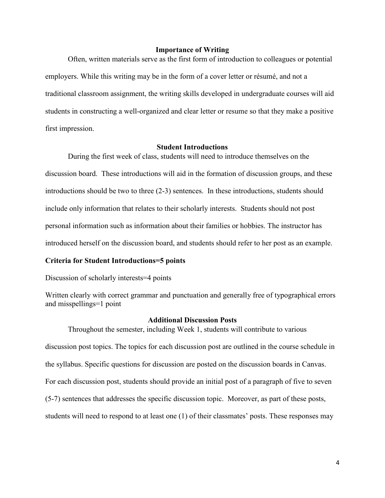### **Importance of Writing**

Often, written materials serve as the first form of introduction to colleagues or potential employers. While this writing may be in the form of a cover letter or résumé, and not a traditional classroom assignment, the writing skills developed in undergraduate courses will aid students in constructing a well-organized and clear letter or resume so that they make a positive first impression.

### **Student Introductions**

During the first week of class, students will need to introduce themselves on the discussion board. These introductions will aid in the formation of discussion groups, and these introductions should be two to three (2-3) sentences. In these introductions, students should include only information that relates to their scholarly interests. Students should not post personal information such as information about their families or hobbies. The instructor has introduced herself on the discussion board, and students should refer to her post as an example.

### **Criteria for Student Introductions=5 points**

Discussion of scholarly interests=4 points

Written clearly with correct grammar and punctuation and generally free of typographical errors and misspellings=1 point

### **Additional Discussion Posts**

Throughout the semester, including Week 1, students will contribute to various discussion post topics. The topics for each discussion post are outlined in the course schedule in the syllabus. Specific questions for discussion are posted on the discussion boards in Canvas. For each discussion post, students should provide an initial post of a paragraph of five to seven (5-7) sentences that addresses the specific discussion topic. Moreover, as part of these posts, students will need to respond to at least one (1) of their classmates' posts. These responses may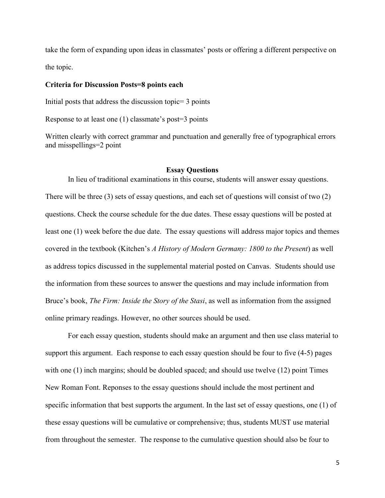take the form of expanding upon ideas in classmates' posts or offering a different perspective on the topic.

### **Criteria for Discussion Posts=8 points each**

Initial posts that address the discussion topic= 3 points

Response to at least one (1) classmate's post=3 points

Written clearly with correct grammar and punctuation and generally free of typographical errors and misspellings=2 point

### **Essay Questions**

In lieu of traditional examinations in this course, students will answer essay questions. There will be three (3) sets of essay questions, and each set of questions will consist of two (2) questions. Check the course schedule for the due dates. These essay questions will be posted at least one (1) week before the due date. The essay questions will address major topics and themes covered in the textbook (Kitchen's *A History of Modern Germany: 1800 to the Present*) as well as address topics discussed in the supplemental material posted on Canvas. Students should use the information from these sources to answer the questions and may include information from Bruce's book, *The Firm: Inside the Story of the Stasi*, as well as information from the assigned online primary readings. However, no other sources should be used.

For each essay question, students should make an argument and then use class material to support this argument. Each response to each essay question should be four to five (4-5) pages with one (1) inch margins; should be doubled spaced; and should use twelve (12) point Times New Roman Font. Reponses to the essay questions should include the most pertinent and specific information that best supports the argument. In the last set of essay questions, one (1) of these essay questions will be cumulative or comprehensive; thus, students MUST use material from throughout the semester. The response to the cumulative question should also be four to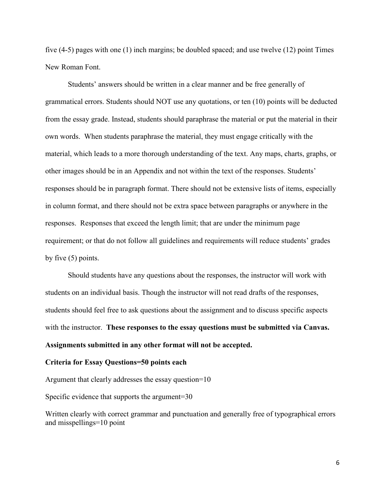five (4-5) pages with one (1) inch margins; be doubled spaced; and use twelve (12) point Times New Roman Font.

Students' answers should be written in a clear manner and be free generally of grammatical errors. Students should NOT use any quotations, or ten (10) points will be deducted from the essay grade. Instead, students should paraphrase the material or put the material in their own words. When students paraphrase the material, they must engage critically with the material, which leads to a more thorough understanding of the text. Any maps, charts, graphs, or other images should be in an Appendix and not within the text of the responses. Students' responses should be in paragraph format. There should not be extensive lists of items, especially in column format, and there should not be extra space between paragraphs or anywhere in the responses. Responses that exceed the length limit; that are under the minimum page requirement; or that do not follow all guidelines and requirements will reduce students' grades by five (5) points.

Should students have any questions about the responses, the instructor will work with students on an individual basis. Though the instructor will not read drafts of the responses, students should feel free to ask questions about the assignment and to discuss specific aspects with the instructor. **These responses to the essay questions must be submitted via Canvas. Assignments submitted in any other format will not be accepted.** 

#### **Criteria for Essay Questions=50 points each**

Argument that clearly addresses the essay question=10

Specific evidence that supports the argument=30

Written clearly with correct grammar and punctuation and generally free of typographical errors and misspellings=10 point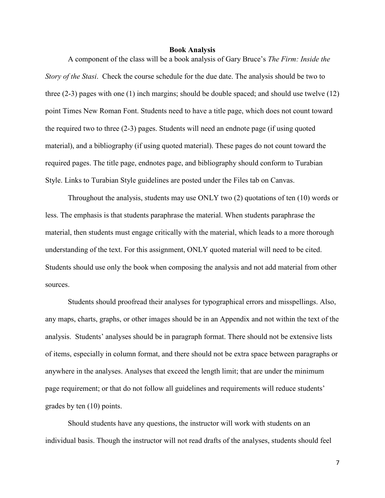#### **Book Analysis**

A component of the class will be a book analysis of Gary Bruce's *The Firm: Inside the Story of the Stasi*. Check the course schedule for the due date. The analysis should be two to three (2-3) pages with one (1) inch margins; should be double spaced; and should use twelve (12) point Times New Roman Font. Students need to have a title page, which does not count toward the required two to three (2-3) pages. Students will need an endnote page (if using quoted material), and a bibliography (if using quoted material). These pages do not count toward the required pages. The title page, endnotes page, and bibliography should conform to Turabian Style. Links to Turabian Style guidelines are posted under the Files tab on Canvas.

Throughout the analysis, students may use ONLY two (2) quotations of ten (10) words or less. The emphasis is that students paraphrase the material. When students paraphrase the material, then students must engage critically with the material, which leads to a more thorough understanding of the text. For this assignment, ONLY quoted material will need to be cited. Students should use only the book when composing the analysis and not add material from other sources.

Students should proofread their analyses for typographical errors and misspellings. Also, any maps, charts, graphs, or other images should be in an Appendix and not within the text of the analysis. Students' analyses should be in paragraph format. There should not be extensive lists of items, especially in column format, and there should not be extra space between paragraphs or anywhere in the analyses. Analyses that exceed the length limit; that are under the minimum page requirement; or that do not follow all guidelines and requirements will reduce students' grades by ten (10) points.

Should students have any questions, the instructor will work with students on an individual basis. Though the instructor will not read drafts of the analyses, students should feel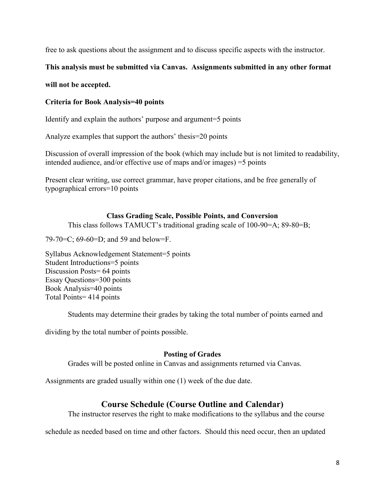free to ask questions about the assignment and to discuss specific aspects with the instructor.

# **This analysis must be submitted via Canvas. Assignments submitted in any other format**

# **will not be accepted.**

# **Criteria for Book Analysis=40 points**

Identify and explain the authors' purpose and argument=5 points

Analyze examples that support the authors' thesis=20 points

Discussion of overall impression of the book (which may include but is not limited to readability, intended audience, and/or effective use of maps and/or images) =5 points

Present clear writing, use correct grammar, have proper citations, and be free generally of typographical errors=10 points

# **Class Grading Scale, Possible Points, and Conversion**

This class follows TAMUCT's traditional grading scale of 100-90=A; 89-80=B;

79-70=C; 69-60=D; and 59 and below=F.

Syllabus Acknowledgement Statement=5 points Student Introductions=5 points Discussion Posts= 64 points Essay Questions=300 points Book Analysis=40 points Total Points= 414 points

Students may determine their grades by taking the total number of points earned and

dividing by the total number of points possible.

# **Posting of Grades**

Grades will be posted online in Canvas and assignments returned via Canvas.

Assignments are graded usually within one (1) week of the due date.

# **Course Schedule (Course Outline and Calendar)**

The instructor reserves the right to make modifications to the syllabus and the course

schedule as needed based on time and other factors. Should this need occur, then an updated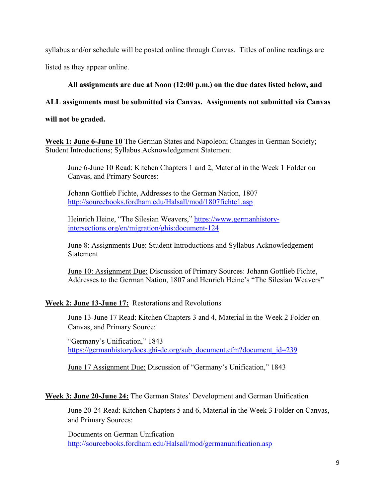syllabus and/or schedule will be posted online through Canvas. Titles of online readings are listed as they appear online.

# **All assignments are due at Noon (12:00 p.m.) on the due dates listed below, and**

# **ALL assignments must be submitted via Canvas. Assignments not submitted via Canvas**

**will not be graded.** 

**Week 1: June 6-June 10** The German States and Napoleon; Changes in German Society; Student Introductions; Syllabus Acknowledgement Statement

June 6-June 10 Read: Kitchen Chapters 1 and 2, Material in the Week 1 Folder on Canvas, and Primary Sources:

Johann Gottlieb Fichte, Addresses to the German Nation, 1807 <http://sourcebooks.fordham.edu/Halsall/mod/1807fichte1.asp>

Heinrich Heine, "The Silesian Weavers," [https://www.germanhistory](https://www.germanhistory-intersections.org/en/migration/ghis:document-124)[intersections.org/en/migration/ghis:document-124](https://www.germanhistory-intersections.org/en/migration/ghis:document-124)

June 8: Assignments Due: Student Introductions and Syllabus Acknowledgement **Statement** 

June 10: Assignment Due: Discussion of Primary Sources: Johann Gottlieb Fichte, Addresses to the German Nation, 1807 and Henrich Heine's "The Silesian Weavers"

# **Week 2: June 13-June 17:** Restorations and Revolutions

June 13-June 17 Read: Kitchen Chapters 3 and 4, Material in the Week 2 Folder on Canvas, and Primary Source:

"Germany's Unification," 1843 [https://germanhistorydocs.ghi-dc.org/sub\\_document.cfm?document\\_id=239](https://germanhistorydocs.ghi-dc.org/sub_document.cfm?document_id=239)

June 17 Assignment Due: Discussion of "Germany's Unification," 1843

**Week 3: June 20-June 24:** The German States' Development and German Unification

June 20-24 Read: Kitchen Chapters 5 and 6, Material in the Week 3 Folder on Canvas, and Primary Sources:

Documents on German Unification <http://sourcebooks.fordham.edu/Halsall/mod/germanunification.asp>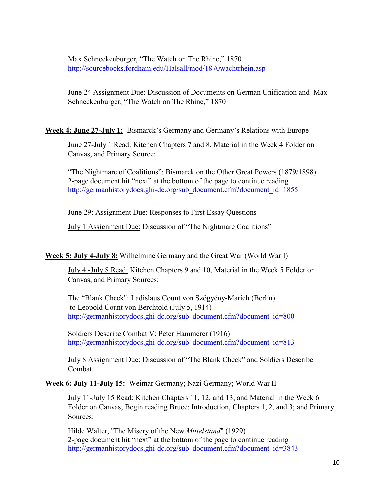Max Schneckenburger, "The Watch on The Rhine," 1870 <http://sourcebooks.fordham.edu/Halsall/mod/1870wachtrhein.asp>

June 24 Assignment Due: Discussion of Documents on German Unification and Max Schneckenburger, "The Watch on The Rhine," 1870

**Week 4: June 27-July 1:** Bismarck's Germany and Germany's Relations with Europe

June 27-July 1 Read: Kitchen Chapters 7 and 8, Material in the Week 4 Folder on Canvas, and Primary Source:

"The Nightmare of Coalitions": Bismarck on the Other Great Powers (1879/1898) 2-page document hit "next" at the bottom of the page to continue reading [http://germanhistorydocs.ghi-dc.org/sub\\_document.cfm?document\\_id=1855](http://germanhistorydocs.ghi-dc.org/sub_document.cfm?document_id=1855)

June 29: Assignment Due: Responses to First Essay Questions

July 1 Assignment Due: Discussion of "The Nightmare Coalitions"

**Week 5: July 4-July 8:** Wilhelmine Germany and the Great War (World War I)

July 4 -July 8 Read: Kitchen Chapters 9 and 10, Material in the Week 5 Folder on Canvas, and Primary Sources:

The "Blank Check": Ladislaus Count von Szögyény-Marich (Berlin) to Leopold Count von Berchtold (July 5, 1914) [http://germanhistorydocs.ghi-dc.org/sub\\_document.cfm?document\\_id=800](http://germanhistorydocs.ghi-dc.org/sub_document.cfm?document_id=800)

Soldiers Describe Combat V: Peter Hammerer (1916) [http://germanhistorydocs.ghi-dc.org/sub\\_document.cfm?document\\_id=813](http://germanhistorydocs.ghi-dc.org/sub_document.cfm?document_id=813)

July 8 Assignment Due: Discussion of "The Blank Check" and Soldiers Describe Combat.

**Week 6: July 11-July 15:** Weimar Germany; Nazi Germany; World War II

July 11-July 15 Read: Kitchen Chapters 11, 12, and 13, and Material in the Week 6 Folder on Canvas; Begin reading Bruce: Introduction, Chapters 1, 2, and 3; and Primary Sources:

Hilde Walter, "The Misery of the New *Mittelstand*" (1929) 2-page document hit "next" at the bottom of the page to continue reading [http://germanhistorydocs.ghi-dc.org/sub\\_document.cfm?document\\_id=3843](http://germanhistorydocs.ghi-dc.org/sub_document.cfm?document_id=3843)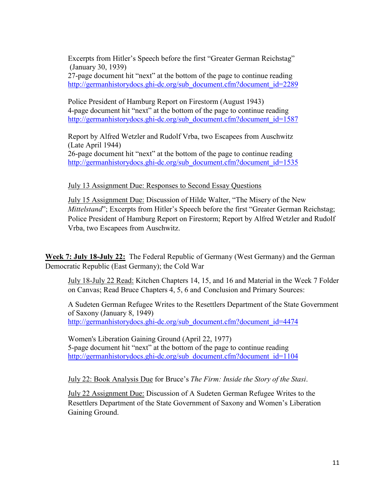Excerpts from Hitler's Speech before the first "Greater German Reichstag" (January 30, 1939)

27-page document hit "next" at the bottom of the page to continue reading [http://germanhistorydocs.ghi-dc.org/sub\\_document.cfm?document\\_id=2289](http://germanhistorydocs.ghi-dc.org/sub_document.cfm?document_id=2289)

Police President of Hamburg Report on Firestorm (August 1943) 4-page document hit "next" at the bottom of the page to continue reading [http://germanhistorydocs.ghi-dc.org/sub\\_document.cfm?document\\_id=1587](http://germanhistorydocs.ghi-dc.org/sub_document.cfm?document_id=1587)

Report by Alfred Wetzler and Rudolf Vrba, two Escapees from Auschwitz (Late April 1944) 26-page document hit "next" at the bottom of the page to continue reading [http://germanhistorydocs.ghi-dc.org/sub\\_document.cfm?document\\_id=1535](http://germanhistorydocs.ghi-dc.org/sub_document.cfm?document_id=1535)

July 13 Assignment Due: Responses to Second Essay Questions

July 15 Assignment Due: Discussion of Hilde Walter, "The Misery of the New *Mittelstand*"; Excerpts from Hitler's Speech before the first "Greater German Reichstag; Police President of Hamburg Report on Firestorm; Report by Alfred Wetzler and Rudolf Vrba, two Escapees from Auschwitz.

**Week 7: July 18-July 22:** The Federal Republic of Germany (West Germany) and the German Democratic Republic (East Germany); the Cold War

July 18-July 22 Read: Kitchen Chapters 14, 15, and 16 and Material in the Week 7 Folder on Canvas; Read Bruce Chapters 4, 5, 6 and Conclusion and Primary Sources:

A Sudeten German Refugee Writes to the Resettlers Department of the State Government of Saxony (January 8, 1949) [http://germanhistorydocs.ghi-dc.org/sub\\_document.cfm?document\\_id=4474](http://germanhistorydocs.ghi-dc.org/sub_document.cfm?document_id=4474)

Women's Liberation Gaining Ground (April 22, 1977) 5-page document hit "next" at the bottom of the page to continue reading [http://germanhistorydocs.ghi-dc.org/sub\\_document.cfm?document\\_id=1104](http://germanhistorydocs.ghi-dc.org/sub_document.cfm?document_id=1104)

July 22: Book Analysis Due for Bruce's *The Firm: Inside the Story of the Stasi*.

July 22 Assignment Due: Discussion of A Sudeten German Refugee Writes to the Resettlers Department of the State Government of Saxony and Women's Liberation Gaining Ground.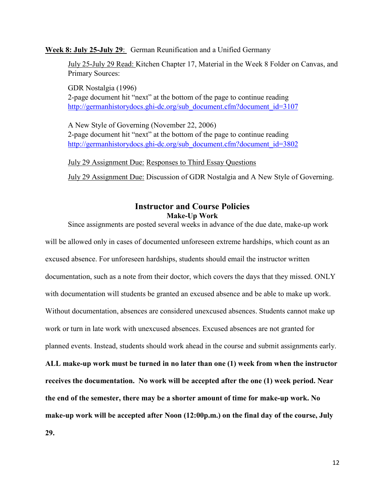**Week 8: July 25-July 29**: German Reunification and a Unified Germany

July 25-July 29 Read: Kitchen Chapter 17, Material in the Week 8 Folder on Canvas, and Primary Sources:

GDR Nostalgia (1996) 2-page document hit "next" at the bottom of the page to continue reading [http://germanhistorydocs.ghi-dc.org/sub\\_document.cfm?document\\_id=3107](http://germanhistorydocs.ghi-dc.org/sub_document.cfm?document_id=3107)

A New Style of Governing (November 22, 2006) 2-page document hit "next" at the bottom of the page to continue reading [http://germanhistorydocs.ghi-dc.org/sub\\_document.cfm?document\\_id=3802](http://germanhistorydocs.ghi-dc.org/sub_document.cfm?document_id=3802)

July 29 Assignment Due: Responses to Third Essay Questions July 29 Assignment Due: Discussion of GDR Nostalgia and A New Style of Governing.

# **Instructor and Course Policies Make-Up Work**

Since assignments are posted several weeks in advance of the due date, make-up work will be allowed only in cases of documented unforeseen extreme hardships, which count as an excused absence. For unforeseen hardships, students should email the instructor written documentation, such as a note from their doctor, which covers the days that they missed. ONLY with documentation will students be granted an excused absence and be able to make up work. Without documentation, absences are considered unexcused absences. Students cannot make up work or turn in late work with unexcused absences. Excused absences are not granted for planned events. Instead, students should work ahead in the course and submit assignments early. **ALL make-up work must be turned in no later than one (1) week from when the instructor receives the documentation. No work will be accepted after the one (1) week period. Near the end of the semester, there may be a shorter amount of time for make-up work. No make-up work will be accepted after Noon (12:00p.m.) on the final day of the course, July 29.**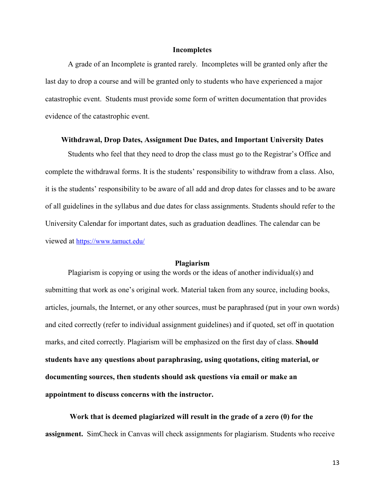### **Incompletes**

A grade of an Incomplete is granted rarely. Incompletes will be granted only after the last day to drop a course and will be granted only to students who have experienced a major catastrophic event. Students must provide some form of written documentation that provides evidence of the catastrophic event.

### **Withdrawal, Drop Dates, Assignment Due Dates, and Important University Dates**

Students who feel that they need to drop the class must go to the Registrar's Office and complete the withdrawal forms. It is the students' responsibility to withdraw from a class. Also, it is the students' responsibility to be aware of all add and drop dates for classes and to be aware of all guidelines in the syllabus and due dates for class assignments. Students should refer to the University Calendar for important dates, such as graduation deadlines. The calendar can be viewed at<https://www.tamuct.edu/>

#### **Plagiarism**

Plagiarism is copying or using the words or the ideas of another individual(s) and submitting that work as one's original work. Material taken from any source, including books, articles, journals, the Internet, or any other sources, must be paraphrased (put in your own words) and cited correctly (refer to individual assignment guidelines) and if quoted, set off in quotation marks, and cited correctly. Plagiarism will be emphasized on the first day of class. **Should students have any questions about paraphrasing, using quotations, citing material, or documenting sources, then students should ask questions via email or make an appointment to discuss concerns with the instructor.** 

**Work that is deemed plagiarized will result in the grade of a zero (0) for the assignment.** SimCheck in Canvas will check assignments for plagiarism. Students who receive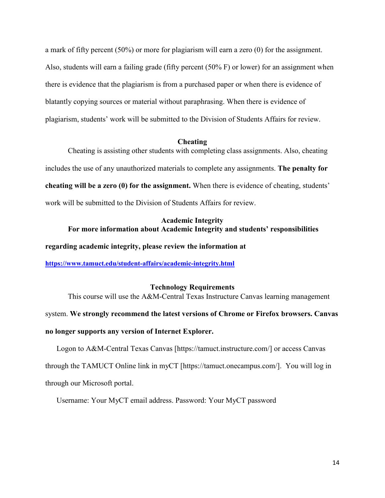a mark of fifty percent (50%) or more for plagiarism will earn a zero (0) for the assignment. Also, students will earn a failing grade (fifty percent (50% F) or lower) for an assignment when there is evidence that the plagiarism is from a purchased paper or when there is evidence of blatantly copying sources or material without paraphrasing. When there is evidence of plagiarism, students' work will be submitted to the Division of Students Affairs for review.

### **Cheating**

Cheating is assisting other students with completing class assignments. Also, cheating includes the use of any unauthorized materials to complete any assignments. **The penalty for cheating will be a zero (0) for the assignment.** When there is evidence of cheating, students' work will be submitted to the Division of Students Affairs for review.

# **Academic Integrity For more information about Academic Integrity and students' responsibilities**

### **regarding academic integrity, please review the information at**

**<https://www.tamuct.edu/student-affairs/academic-integrity.html>**

### **Technology Requirements**

This course will use the A&M-Central Texas Instructure Canvas learning management system. **We strongly recommend the latest versions of Chrome or Firefox browsers. Canvas no longer supports any version of Internet Explorer.**

# Logon to A&M-Central Texas Canvas [https://tamuct.instructure.com/] or access Canvas through the TAMUCT Online link in myCT [https://tamuct.onecampus.com/]. You will log in through our Microsoft portal.

Username: Your MyCT email address. Password: Your MyCT password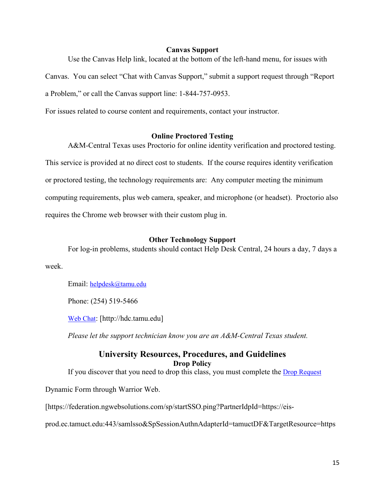### **Canvas Support**

Use the Canvas Help link, located at the bottom of the left-hand menu, for issues with

Canvas. You can select "Chat with Canvas Support," submit a support request through "Report

a Problem," or call the Canvas support line: 1-844-757-0953.

For issues related to course content and requirements, contact your instructor.

### **Online Proctored Testing**

A&M-Central Texas uses Proctorio for online identity verification and proctored testing. This service is provided at no direct cost to students. If the course requires identity verification or proctored testing, the technology requirements are: Any computer meeting the minimum computing requirements, plus web camera, speaker, and microphone (or headset). Proctorio also requires the Chrome web browser with their custom plug in.

### **Other Technology Support**

For log-in problems, students should contact Help Desk Central, 24 hours a day, 7 days a week.

Email: [helpdesk@tamu.edu](mailto:helpdesk@tamu.edu)

Phone: (254) 519-5466

[Web Chat:](http://hdc.tamu.edu/) [http://hdc.tamu.edu]

*Please let the support technician know you are an A&M-Central Texas student.*

# **University Resources, Procedures, and Guidelines Drop Policy**

If you discover that you need to drop this class, you must complete the [Drop Request](https://federation.ngwebsolutions.com/sp/startSSO.ping?PartnerIdpId=https://eis-prod.ec.tamuct.edu:443/samlsso&SpSessionAuthnAdapterId=tamuctDF&TargetResource=https%3a%2f%2fdynamicforms.ngwebsolutions.com%2fSubmit%2fStart%2f53b8369e-0502-4f36-be43-f02a4202f612)

Dynamic Form through Warrior Web.

[https://federation.ngwebsolutions.com/sp/startSSO.ping?PartnerIdpId=https://eis-

prod.ec.tamuct.edu:443/samlsso&SpSessionAuthnAdapterId=tamuctDF&TargetResource=https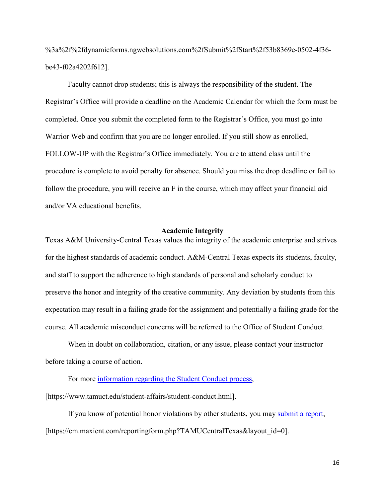%3a%2f%2fdynamicforms.ngwebsolutions.com%2fSubmit%2fStart%2f53b8369e-0502-4f36 be43-f02a4202f612].

Faculty cannot drop students; this is always the responsibility of the student. The Registrar's Office will provide a deadline on the Academic Calendar for which the form must be completed. Once you submit the completed form to the Registrar's Office, you must go into Warrior Web and confirm that you are no longer enrolled. If you still show as enrolled, FOLLOW-UP with the Registrar's Office immediately. You are to attend class until the procedure is complete to avoid penalty for absence. Should you miss the drop deadline or fail to follow the procedure, you will receive an F in the course, which may affect your financial aid and/or VA educational benefits.

### **Academic Integrity**

Texas A&M University-Central Texas values the integrity of the academic enterprise and strives for the highest standards of academic conduct. A&M-Central Texas expects its students, faculty, and staff to support the adherence to high standards of personal and scholarly conduct to preserve the honor and integrity of the creative community. Any deviation by students from this expectation may result in a failing grade for the assignment and potentially a failing grade for the course. All academic misconduct concerns will be referred to the Office of Student Conduct.

When in doubt on collaboration, citation, or any issue, please contact your instructor before taking a course of action.

For more [information](https://nam04.safelinks.protection.outlook.com/?url=https%3A%2F%2Fwww.tamuct.edu%2Fstudent-affairs%2Fstudent-conduct.html&data=04%7C01%7Clisa.bunkowski%40tamuct.edu%7Ccfb6e486f24745f53e1a08d910055cb2%7C9eed4e3000f744849ff193ad8005acec%7C0%7C0%7C637558437485252160%7CUnknown%7CTWFpbGZsb3d8eyJWIjoiMC4wLjAwMDAiLCJQIjoiV2luMzIiLCJBTiI6Ik1haWwiLCJXVCI6Mn0%3D%7C1000&sdata=yjftDEVHvLX%2FhM%2FcFU0B99krV1RgEWR%2BJ%2BhvtoR6TYk%3D&reserved=0) regarding the Student Conduct process,

[https://www.tamuct.edu/student-affairs/student-conduct.html].

If you know of potential honor violations by other students, you may [submit](https://nam04.safelinks.protection.outlook.com/?url=https%3A%2F%2Fcm.maxient.com%2Freportingform.php%3FTAMUCentralTexas%26layout_id%3D0&data=04%7C01%7Clisa.bunkowski%40tamuct.edu%7Ccfb6e486f24745f53e1a08d910055cb2%7C9eed4e3000f744849ff193ad8005acec%7C0%7C0%7C637558437485262157%7CUnknown%7CTWFpbGZsb3d8eyJWIjoiMC4wLjAwMDAiLCJQIjoiV2luMzIiLCJBTiI6Ik1haWwiLCJXVCI6Mn0%3D%7C1000&sdata=CXGkOa6uPDPX1IMZ87z3aZDq2n91xfHKu4MMS43Ejjk%3D&reserved=0) a report, [https://cm.maxient.com/reportingform.php?TAMUCentralTexas&layout\_id=0].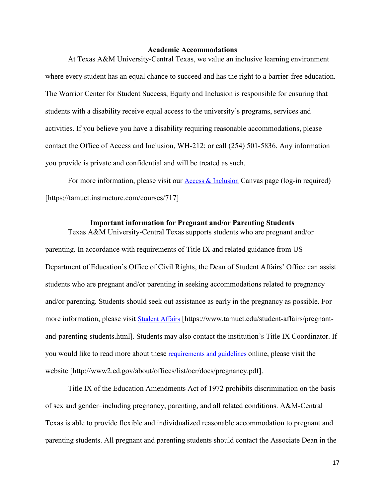#### **Academic Accommodations**

At Texas A&M University-Central Texas, we value an inclusive learning environment where every student has an equal chance to succeed and has the right to a barrier-free education. The Warrior Center for Student Success, Equity and Inclusion is responsible for ensuring that students with a disability receive equal access to the university's programs, services and activities. If you believe you have a disability requiring reasonable accommodations, please contact the Office of Access and Inclusion, WH-212; or call (254) 501-5836. Any information you provide is private and confidential and will be treated as such.

For more information, please visit our [Access & Inclusion](https://tamuct.instructure.com/courses/717) Canvas page (log-in required) [https://tamuct.instructure.com/courses/717]

### **Important information for Pregnant and/or Parenting Students**

Texas A&M University-Central Texas supports students who are pregnant and/or parenting. In accordance with requirements of Title IX and related guidance from US Department of Education's Office of Civil Rights, the Dean of Student Affairs' Office can assist students who are pregnant and/or parenting in seeking accommodations related to pregnancy and/or parenting. Students should seek out assistance as early in the pregnancy as possible. For more information, please visit [Student Affairs](https://www.tamuct.edu/student-affairs/pregnant-and-parenting-students.html) [https://www.tamuct.edu/student-affairs/pregnantand-parenting-students.html]. Students may also contact the institution's Title IX Coordinator. If you would like to read more about these [requirements and guidelines](http://www2.ed.gov/about/offices/list/ocr/docs/pregnancy.pdf) online, please visit the website [http://www2.ed.gov/about/offices/list/ocr/docs/pregnancy.pdf].

Title IX of the Education Amendments Act of 1972 prohibits discrimination on the basis of sex and gender–including pregnancy, parenting, and all related conditions. A&M-Central Texas is able to provide flexible and individualized reasonable accommodation to pregnant and parenting students. All pregnant and parenting students should contact the Associate Dean in the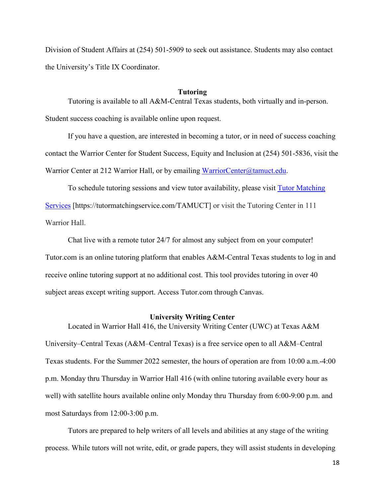Division of Student Affairs at (254) 501-5909 to seek out assistance. Students may also contact the University's Title IX Coordinator.

### **Tutoring**

Tutoring is available to all A&M-Central Texas students, both virtually and in-person. Student success coaching is available online upon request.

If you have a question, are interested in becoming a tutor, or in need of success coaching contact the Warrior Center for Student Success, Equity and Inclusion at (254) 501-5836, visit the Warrior Center at 212 Warrior Hall, or by emailing [WarriorCenter@tamuct.edu.](mailto:WarriorCenter@tamuct.edu)

To schedule tutoring sessions and view tutor availability, please visit Tutor [Matching](https://tutormatchingservice.com/TAMUCT) [Services](https://tutormatchingservice.com/TAMUCT) [https://tutormatchingservice.com/TAMUCT] or visit the Tutoring Center in 111 Warrior Hall.

Chat live with a remote tutor 24/7 for almost any subject from on your computer! Tutor.com is an online tutoring platform that enables A&M-Central Texas students to log in and receive online tutoring support at no additional cost. This tool provides tutoring in over 40 subject areas except writing support. Access Tutor.com through Canvas.

### **University Writing Center**

Located in Warrior Hall 416, the University Writing Center (UWC) at Texas A&M University–Central Texas (A&M–Central Texas) is a free service open to all A&M–Central Texas students. For the Summer 2022 semester, the hours of operation are from 10:00 a.m.-4:00 p.m. Monday thru Thursday in Warrior Hall 416 (with online tutoring available every hour as well) with satellite hours available online only Monday thru Thursday from 6:00-9:00 p.m. and most Saturdays from 12:00-3:00 p.m.

Tutors are prepared to help writers of all levels and abilities at any stage of the writing process. While tutors will not write, edit, or grade papers, they will assist students in developing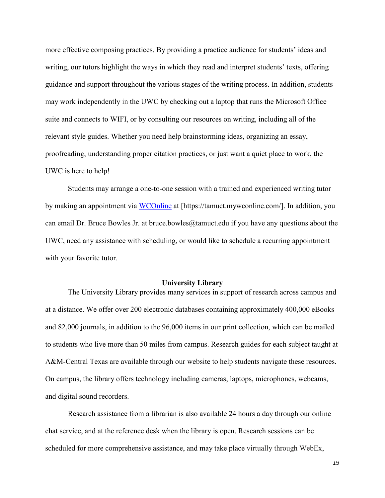more effective composing practices. By providing a practice audience for students' ideas and writing, our tutors highlight the ways in which they read and interpret students' texts, offering guidance and support throughout the various stages of the writing process. In addition, students may work independently in the UWC by checking out a laptop that runs the Microsoft Office suite and connects to WIFI, or by consulting our resources on writing, including all of the relevant style guides. Whether you need help brainstorming ideas, organizing an essay, proofreading, understanding proper citation practices, or just want a quiet place to work, the UWC is here to help!

Students may arrange a one-to-one session with a trained and experienced writing tutor by making an appointment via [WCOnline](https://tamuct.mywconline.com/) at [https://tamuct.mywconline.com/]. In addition, you can email Dr. Bruce Bowles Jr. at bruce.bowles  $@t$ amuct.edu if you have any questions about the UWC, need any assistance with scheduling, or would like to schedule a recurring appointment with your favorite tutor.

### **University Library**

The University Library provides many services in support of research across campus and at a distance. We offer over 200 electronic databases containing approximately 400,000 eBooks and 82,000 journals, in addition to the 96,000 items in our print collection, which can be mailed to students who live more than 50 miles from campus. Research guides for each subject taught at A&M-Central Texas are available through our website to help students navigate these resources. On campus, the library offers technology including cameras, laptops, microphones, webcams, and digital sound recorders.

Research assistance from a librarian is also available 24 hours a day through our online chat service, and at the reference desk when the library is open. Research sessions can be scheduled for more comprehensive assistance, and may take place virtually through WebEx,